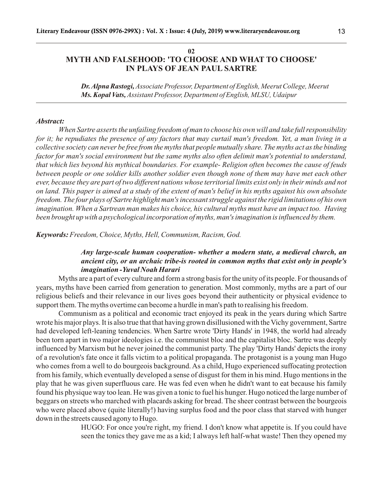## **02 MYTH AND FALSEHOOD: 'TO CHOOSE AND WHAT TO CHOOSE' IN PLAYS OF JEAN PAUL SARTRE**

*Dr. Alpna Rastogi, Associate Professor, Department of English, Meerut College, Meerut Ms. Kopal Vats, Assistant Professor, Department of English, MLSU, Udaipur*

#### *Abstract:*

*When Sartre asserts the unfailing freedom of man to choose his own will and take full responsibility for it; he repudiates the presence of any factors that may curtail man's freedom. Yet, a man living in a collective society can never be free from the myths that people mutually share. The myths act as the binding factor for man's social environment but the same myths also often delimit man's potential to understand, that which lies beyond his mythical boundaries. For example- Religion often becomes the cause of feuds between people or one soldier kills another soldier even though none of them may have met each other ever, because they are part of two different nations whose territorial limits exist only in their minds and not on land. This paper is aimed at a study of the extent of man's belief in his myths against his own absolute freedom. The four plays of Sartre highlight man's incessant struggle against the rigid limitations of his own imagination. When a Sartrean man makes his choice, his cultural myths must have an impact too. Having been brought up with a psychological incorporation of myths, man's imagination is influenced by them.*

*Keywords: Freedom, Choice, Myths, Hell, Communism, Racism, God.*

# *Any large-scale human cooperation- whether a modern state, a medieval church, an ancient city, or an archaic tribe-is rooted in common myths that exist only in people's imagination -Yuval Noah Harari*

Myths are a part of every culture and form a strong basis for the unity of its people. For thousands of years, myths have been carried from generation to generation. Most commonly, myths are a part of our religious beliefs and their relevance in our lives goes beyond their authenticity or physical evidence to support them. The myths overtime can become a hurdle in man's path to realising his freedom.

Communism as a political and economic tract enjoyed its peak in the years during which Sartre wrote his major plays. It is also true that that having grown disillusioned with the Vichy government, Sartre had developed left-leaning tendencies. When Sartre wrote 'Dirty Hands' in 1948, the world had already been torn apart in two major ideologies i.e. the communist bloc and the capitalist bloc. Sartre was deeply influenced by Marxism but he never joined the communist party. The play 'Dirty Hands' depicts the irony of a revolution's fate once it falls victim to a political propaganda. The protagonist is a young man Hugo who comes from a well to do bourgeois background. As a child, Hugo experienced suffocating protection from his family, which eventually developed a sense of disgust for them in his mind. Hugo mentions in the play that he was given superfluous care. He was fed even when he didn't want to eat because his family found his physique way too lean. He was given a tonic to fuel his hunger. Hugo noticed the large number of beggars on streets who marched with placards asking for bread. The sheer contrast between the bourgeois who were placed above (quite literally!) having surplus food and the poor class that starved with hunger down in the streets caused agony to Hugo.

> HUGO: For once you're right, my friend. I don't know what appetite is. If you could have seen the tonics they gave me as a kid; I always left half-what waste! Then they opened my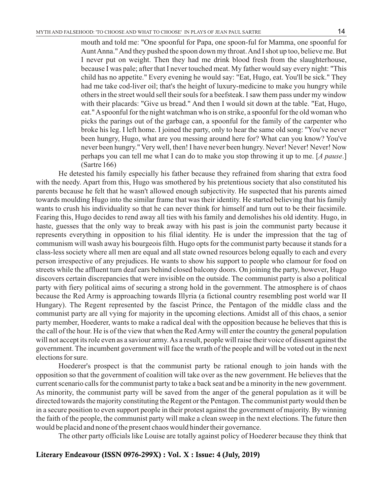mouth and told me: "One spoonful for Papa, one spoon-ful for Mamma, one spoonful for Aunt Anna." And they pushed the spoon down my throat. And I shot up too, believe me. But I never put on weight. Then they had me drink blood fresh from the slaughterhouse, because I was pale; after that I never touched meat. My father would say every night: "This child has no appetite." Every evening he would say: "Eat, Hugo, eat. You'll be sick." They had me take cod-liver oil; that's the height of luxury-medicine to make you hungry while others in the street would sell their souls for a beefsteak. I saw them pass under my window with their placards: "Give us bread." And then I would sit down at the table. "Eat, Hugo, eat." Aspoonful for the night watchman who is on strike, a spoonful for the old woman who picks the parings out of the garbage can, a spoonful for the family of the carpenter who broke his leg. I left home. I joined the party, only to hear the same old song: "You've never been hungry, Hugo, what are you messing around here for? What can you know? You've never been hungry." Very well, then! I have never been hungry. Never! Never! Never! Now perhaps you can tell me what I can do to make you stop throwing it up to me. [*A pause*.] (Sartre 166)

He detested his family especially his father because they refrained from sharing that extra food with the needy. Apart from this, Hugo was smothered by his pretentious society that also constituted his parents because he felt that he wasn't allowed enough subjectivity. He suspected that his parents aimed towards moulding Hugo into the similar frame that was their identity. He started believing that his family wants to crush his individuality so that he can never think for himself and turn out to be their facsimile. Fearing this, Hugo decides to rend away all ties with his family and demolishes his old identity. Hugo, in haste, guesses that the only way to break away with his past is join the communist party because it represents everything in opposition to his filial identity. He is under the impression that the tag of communism will wash away his bourgeois filth. Hugo opts for the communist party because it stands for a class-less society where all men are equal and all state owned resources belong equally to each and every person irrespective of any prejudices. He wants to show his support to people who clamour for food on streets while the affluent turn deaf ears behind closed balcony doors. On joining the party, however, Hugo discovers certain discrepancies that were invisible on the outside. The communist party is also a political party with fiery political aims of securing a strong hold in the government. The atmosphere is of chaos because the Red Army is approaching towards Illyria (a fictional country resembling post world war II Hungary). The Regent represented by the fascist Prince, the Pentagon of the middle class and the communist party are all vying for majority in the upcoming elections. Amidst all of this chaos, a senior party member, Hoederer, wants to make a radical deal with the opposition because he believes that this is the call of the hour. He is of the view that when the Red Army will enter the country the general population will not accept its role even as a saviour army. As a result, people will raise their voice of dissent against the government. The incumbent government will face the wrath of the people and will be voted out in the next elections for sure.

Hoederer's prospect is that the communist party be rational enough to join hands with the opposition so that the government of coalition will take over as the new government. He believes that the current scenario calls for the communist party to take a back seat and be a minority in the new government. As minority, the communist party will be saved from the anger of the general population as it will be directed towards the majority constituting the Regent or the Pentagon. The communist party would then be in a secure position to even support people in their protest against the government of majority. By winning the faith of the people, the communist party will make a clean sweep in the next elections. The future then would be placid and none of the present chaos would hinder their governance.

The other party officials like Louise are totally against policy of Hoederer because they think that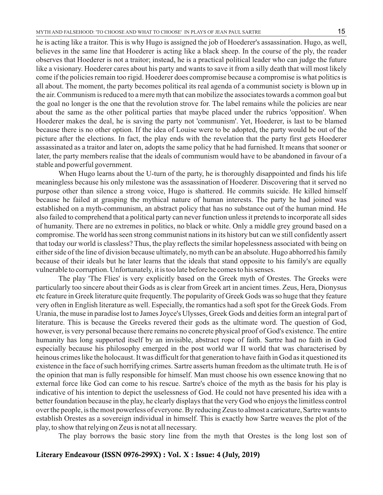he is acting like a traitor. This is why Hugo is assigned the job of Hoederer's assassination. Hugo, as well, believes in the same line that Hoederer is acting like a black sheep. In the course of the ply, the reader observes that Hoederer is not a traitor; instead, he is a practical political leader who can judge the future like a visionary. Hoederer cares about his party and wants to save it from a silly death that will most likely come if the policies remain too rigid. Hoederer does compromise because a compromise is what politics is all about. The moment, the party becomes political its real agenda of a communist society is blown up in the air. Communism is reduced to a mere myth that can mobilize the associates towards a common goal but the goal no longer is the one that the revolution strove for. The label remains while the policies are near about the same as the other political parties that maybe placed under the rubrics 'opposition'. When Hoederer makes the deal, he is saving the party not 'communism'. Yet, Hoederer, is last to be blamed because there is no other option. If the idea of Louise were to be adopted, the party would be out of the picture after the elections. In fact, the play ends with the revelation that the party first gets Hoederer assassinated as a traitor and later on, adopts the same policy that he had furnished. It means that sooner or later, the party members realise that the ideals of communism would have to be abandoned in favour of a stable and powerful government.

When Hugo learns about the U-turn of the party, he is thoroughly disappointed and finds his life meaningless because his only milestone was the assassination of Hoederer. Discovering that it served no purpose other than silence a strong voice, Hugo is shattered. He commits suicide. He killed himself because he failed at grasping the mythical nature of human interests. The party he had joined was established on a myth-communism, an abstract policy that has no substance out of the human mind. He also failed to comprehend that a political party can never function unless it pretends to incorporate all sides of humanity. There are no extremes in politics, no black or white. Only a middle grey ground based on a compromise. The world has seen strong communist nations in its history but can we still confidently assert that today our world is classless? Thus, the play reflects the similar hopelessness associated with being on either side of the line of division because ultimately, no myth can be an absolute. Hugo abhorred his family because of their ideals but he later learns that the ideals that stand opposite to his family's are equally vulnerable to corruption. Unfortunately, it is too late before he comes to his senses.

The play 'The Flies' is very explicitly based on the Greek myth of Orestes. The Greeks were particularly too sincere about their Gods as is clear from Greek art in ancient times. Zeus, Hera, Dionysus etc feature in Greek literature quite frequently. The popularity of Greek Gods was so huge that they feature very often in English literature as well. Especially, the romantics had a soft spot for the Greek Gods. From Urania, the muse in paradise lost to James Joyce's Ulysses, Greek Gods and deities form an integral part of literature. This is because the Greeks revered their gods as the ultimate word. The question of God, however, is very personal because there remains no concrete physical proof of God's existence. The entire humanity has long supported itself by an invisible, abstract rope of faith. Sartre had no faith in God especially because his philosophy emerged in the post world war II world that was characterised by heinous crimes like the holocaust. It was difficult for that generation to have faith in God as it questioned its existence in the face of such horrifying crimes. Sartre asserts human freedom as the ultimate truth. He is of the opinion that man is fully responsible for himself. Man must choose his own essence knowing that no external force like God can come to his rescue. Sartre's choice of the myth as the basis for his play is indicative of his intention to depict the uselessness of God. He could not have presented his idea with a better foundation because in the play, he clearly displays that the very God who enjoys the limitless control over the people, is the most powerless of everyone. By reducing Zeus to almost a caricature, Sartre wants to establish Orestes as a sovereign individual in himself. This is exactly how Sartre weaves the plot of the play, to show that relying on Zeus is not at all necessary.

The play borrows the basic story line from the myth that Orestes is the long lost son of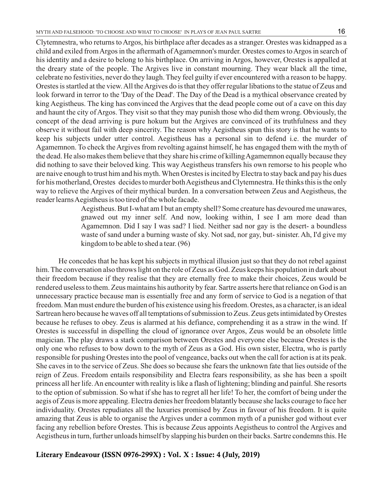Clytemnestra, who returns to Argos, his birthplace after decades as a stranger. Orestes was kidnapped as a child and exiled from Argos in the aftermath of Agamemnon's murder. Orestes comes to Argos in search of his identity and a desire to belong to his birthplace. On arriving in Argos, however, Orestes is appalled at the dreary state of the people. The Argives live in constant mourning. They wear black all the time, celebrate no festivities, never do they laugh. They feel guilty if ever encountered with a reason to be happy. Orestes is startled at the view. All the Argives do is that they offer regular libations to the statue of Zeus and look forward in terror to the 'Day of the Dead'. The Day of the Dead is a mythical observance created by king Aegistheus. The king has convinced the Argives that the dead people come out of a cave on this day and haunt the city of Argos. They visit so that they may punish those who did them wrong. Obviously, the concept of the dead arriving is pure hokum but the Argives are convinced of its truthfulness and they observe it without fail with deep sincerity. The reason why Aegistheus spun this story is that he wants to keep his subjects under utter control. Aegistheus has a personal sin to defend i.e. the murder of Agamemnon. To check the Argives from revolting against himself, he has engaged them with the myth of the dead. He also makes them believe that they share his crime of killing Agamemnon equally because they did nothing to save their beloved king. This way Aegistheus transfers his own remorse to his people who are naive enough to trust him and his myth. When Orestes is incited by Electra to stay back and pay his dues for his motherland, Orestes decides to murder both Aegistheus and Clytemnestra. He thinks this is the only way to relieve the Argives of their mythical burden. In a conversation between Zeus and Aegistheus, the reader learns Aegistheus is too tired of the whole facade.

> Aegistheus. But I-what am I but an empty shell? Some creature has devoured me unawares, gnawed out my inner self. And now, looking within, I see I am more dead than Agamemnon. Did I say I was sad? I lied. Neither sad nor gay is the desert- a boundless waste of sand under a burning waste of sky. Not sad, nor gay, but- sinister. Ah, I'd give my kingdom to be able to shed a tear. (96)

He concedes that he has kept his subjects in mythical illusion just so that they do not rebel against him. The conversation also throws light on the role of Zeus as God. Zeus keeps his population in dark about their freedom because if they realise that they are eternally free to make their choices, Zeus would be rendered useless to them. Zeus maintains his authority by fear. Sartre asserts here that reliance on God is an unnecessary practice because man is essentially free and any form of service to God is a negation of that freedom. Man must endure the burden of his existence using his freedom. Orestes, as a character, is an ideal Sartrean hero because he waves off all temptations of submission to Zeus. Zeus gets intimidated by Orestes because he refuses to obey. Zeus is alarmed at his defiance, comprehending it as a straw in the wind. If Orestes is successful in dispelling the cloud of ignorance over Argos, Zeus would be an obsolete little magician. The play draws a stark comparison between Orestes and everyone else because Orestes is the only one who refuses to bow down to the myth of Zeus as a God. His own sister, Electra, who is partly responsible for pushing Orestes into the pool of vengeance, backs out when the call for action is at its peak. She caves in to the service of Zeus. She does so because she fears the unknown fate that lies outside of the reign of Zeus. Freedom entails responsibility and Electra fears responsibility, as she has been a spoilt princess all her life. An encounter with reality is like a flash of lightening; blinding and painful. She resorts to the option of submission. So what if she has to regret all her life! To her, the comfort of being under the aegis of Zeus is more appealing. Electra denies her freedom blatantly because she lacks courage to face her individuality. Orestes repudiates all the luxuries promised by Zeus in favour of his freedom. It is quite amazing that Zeus is able to organise the Argives under a common myth of a punisher god without ever facing any rebellion before Orestes. This is because Zeus appoints Aegistheus to control the Argives and Aegistheus in turn, further unloads himself by slapping his burden on their backs. Sartre condemns this. He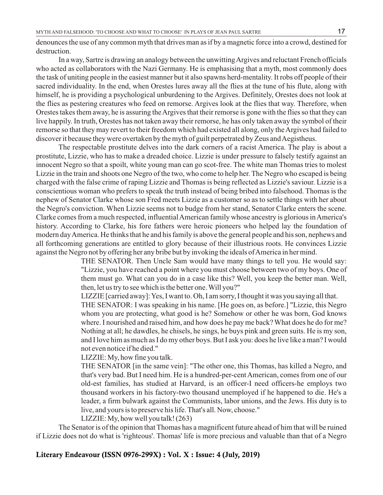denounces the use of any common myth that drives man as if by a magnetic force into a crowd, destined for destruction.

In a way, Sartre is drawing an analogy between the unwitting Argives and reluctant French officials who acted as collaborators with the Nazi Germany. He is emphasising that a myth, most commonly does the task of uniting people in the easiest manner but it also spawns herd-mentality. It robs off people of their sacred individuality. In the end, when Orestes lures away all the flies at the tune of his flute, along with himself, he is providing a psychological unburdening to the Argives. Definitely, Orestes does not look at the flies as pestering creatures who feed on remorse. Argives look at the flies that way. Therefore, when Orestes takes them away, he is assuring the Argives that their remorse is gone with the flies so that they can live happily. In truth, Orestes has not taken away their remorse, he has only taken away the symbol of their remorse so that they may revert to their freedom which had existed all along, only the Argives had failed to discover it because they were overtaken by the myth of guilt perpetrated by Zeus and Aegistheus.

The respectable prostitute delves into the dark corners of a racist America. The play is about a prostitute, Lizzie, who has to make a dreaded choice. Lizzie is under pressure to falsely testify against an innocent Negro so that a spoilt, white young man can go scot-free. The white man Thomas tries to molest Lizzie in the train and shoots one Negro of the two, who come to help her. The Negro who escaped is being charged with the false crime of raping Lizzie and Thomas is being reflected as Lizzie's saviour. Lizzie is a conscientious woman who prefers to speak the truth instead of being bribed into falsehood. Thomas is the nephew of Senator Clarke whose son Fred meets Lizzie as a customer so as to settle things with her about the Negro's conviction. When Lizzie seems not to budge from her stand, Senator Clarke enters the scene. Clarke comes from a much respected, influential American family whose ancestry is glorious in America's history. According to Clarke, his fore fathers were heroic pioneers who helped lay the foundation of modern day America. He thinks that he and his family is above the general people and his son, nephews and all forthcoming generations are entitled to glory because of their illustrious roots. He convinces Lizzie against the Negro not by offering her any bribe but by invoking the ideals of America in her mind.

> THE SENATOR. Then Uncle Sam would have many things to tell you. He would say: "Lizzie, you have reached a point where you must choose between two of my boys. One of them must go. What can you do in a case like this? Well, you keep the better man. Well, then, let us try to see which is the better one. Will you?"

LIZZIE [carried away]: Yes, I want to. Oh, I am sorry, I thought it was you saying all that.

THE SENATOR: I was speaking in his name. [He goes on, as before.] "Lizzie, this Negro whom you are protecting, what good is he? Somehow or other he was born, God knows where. I nourished and raised him, and how does he pay me back? What does he do for me? Nothing at all; he dawdles, he chisels, he sings, he buys pink and green suits. He is my son, and I love him as much as I do my other boys. But I ask you: does he live like a man? I would not even notice if he died."

LIZZIE: My, how fine you talk.

THE SENATOR [in the same vein]: "The other one, this Thomas, has killed a Negro, and that's very bad. But I need him. He is a hundred-per-cent American, comes from one of our old-est families, has studied at Harvard, is an officer-I need officers-he employs two thousand workers in his factory-two thousand unemployed if he happened to die. He's a leader, a firm bulwark against the Communists, labor unions, and the Jews. His duty is to live, and yours is to preserve his life. That's all. Now, choose."

LIZZIE: My, how well you talk! (263)

The Senator is of the opinion that Thomas has a magnificent future ahead of him that will be ruined if Lizzie does not do what is 'righteous'. Thomas' life is more precious and valuable than that of a Negro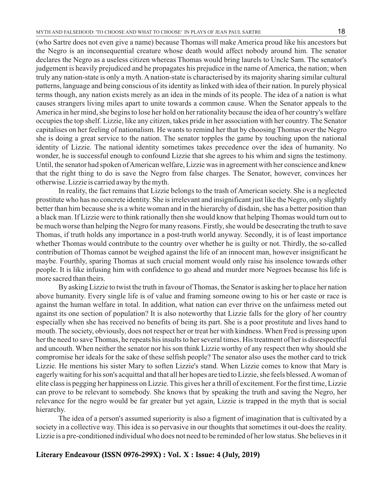(who Sartre does not even give a name) because Thomas will make America proud like his ancestors but the Negro is an inconsequential creature whose death would affect nobody around him. The senator declares the Negro as a useless citizen whereas Thomas would bring laurels to Uncle Sam. The senator's judgement is heavily prejudiced and he propagates his prejudice in the name of America, the nation; when truly any nation-state is only a myth. Anation-state is characterised by its majority sharing similar cultural patterns, language and being conscious of its identity as linked with idea of their nation. In purely physical terms though, any nation exists merely as an idea in the minds of its people. The idea of a nation is what causes strangers living miles apart to unite towards a common cause. When the Senator appeals to the America in her mind, she begins to lose her hold on her rationality because the idea of her country's welfare occupies the top shelf. Lizzie, like any citizen, takes pride in her association with her country. The Senator capitalises on her feeling of nationalism. He wants to remind her that by choosing Thomas over the Negro she is doing a great service to the nation. The senator topples the game by touching upon the national identity of Lizzie. The national identity sometimes takes precedence over the idea of humanity. No wonder, he is successful enough to confound Lizzie that she agrees to his whim and signs the testimony. Until, the senator had spoken of American welfare, Lizzie was in agreement with her conscience and knew that the right thing to do is save the Negro from false charges. The Senator, however, convinces her otherwise. Lizzie is carried away by the myth.

In reality, the fact remains that Lizzie belongs to the trash of American society. She is a neglected prostitute who has no concrete identity. She is irrelevant and insignificant just like the Negro, only slightly better than him because she is a white woman and in the hierarchy of disdain, she has a better position than a black man. If Lizzie were to think rationally then she would know that helping Thomas would turn out to be much worse than helping the Negro for many reasons. Firstly, she would be desecrating the truth to save Thomas, if truth holds any importance in a post-truth world anyway. Secondly, it is of least importance whether Thomas would contribute to the country over whether he is guilty or not. Thirdly, the so-called contribution of Thomas cannot be weighed against the life of an innocent man, however insignificant he maybe. Fourthly, sparing Thomas at such crucial moment would only raise his insolence towards other people. It is like infusing him with confidence to go ahead and murder more Negroes because his life is more sacred than theirs.

By asking Lizzie to twist the truth in favour of Thomas, the Senator is asking her to place her nation above humanity. Every single life is of value and framing someone owing to his or her caste or race is against the human welfare in total. In addition, what nation can ever thrive on the unfairness meted out against its one section of population? It is also noteworthy that Lizzie falls for the glory of her country especially when she has received no benefits of being its part. She is a poor prostitute and lives hand to mouth. The society, obviously, does not respect her or treat her with kindness. When Fred is pressing upon her the need to save Thomas, he repeats his insults to her several times. His treatment of her is disrespectful and uncouth. When neither the senator nor his son think Lizzie worthy of any respect then why should she compromise her ideals for the sake of these selfish people? The senator also uses the mother card to trick Lizzie. He mentions his sister Mary to soften Lizzie's stand. When Lizzie comes to know that Mary is eagerly waiting for his son's acquittal and that all her hopes are tied to Lizzie, she feels blessed. Awoman of elite class is pegging her happiness on Lizzie. This gives her a thrill of excitement. For the first time, Lizzie can prove to be relevant to somebody. She knows that by speaking the truth and saving the Negro, her relevance for the negro would be far greater but yet again, Lizzie is trapped in the myth that is social hierarchy.

The idea of a person's assumed superiority is also a figment of imagination that is cultivated by a society in a collective way. This idea is so pervasive in our thoughts that sometimes it out-does the reality. Lizzie is a pre-conditioned individual who does not need to be reminded of her low status. She believes in it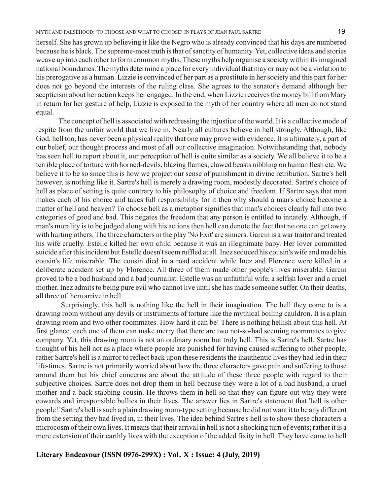19

herself. She has grown up believing it like the Negro who is already convinced that his days are numbered because he is black. The supreme-most truth is that of sanctity of humanity. Yet, collective ideas and stories weave up into each other to form common myths. These myths help organise a society within its imagined national boundaries. The myths determine a place for every individual that may or may not be a violation to his prerogative as a human. Lizzie is convinced of her part as a prostitute in her society and this part for her does not go beyond the interests of the ruling class. She agrees to the senator's demand although her scepticism about her action keeps her engaged. In the end, when Lizzie receives the money bill from Mary in return for her gesture of help, Lizzie is exposed to the myth of her country where all men do not stand equal.

The concept of hell is associated with redressing the injustice of the world. It is a collective mode of respite from the unfair world that we live in. Nearly all cultures believe in hell strongly. Although, like God, hell too, has never been a physical reality that one may prove with evidence. It is ultimately, a part of our belief, our thought process and most of all our collective imagination. Notwithstanding that, nobody has seen hell to report about it, our perception of hell is quite similar as a society. We all believe it to be a terrible place of torture with horned-devils, blazing flames, clawed beasts nibbling on human flesh etc. We believe it to be so since this is how we project our sense of punishment in divine retribution. Sartre's hell however, is nothing like it. Sartre's hell is merely a drawing room, modestly decorated. Sartre's choice of hell as place of setting is quite contrary to his philosophy of choice and freedom. If Sartre says that man makes each of his choice and takes full responsibility for it then why should a man's choice become a matter of hell and heaven? To choose hell as a metaphor signifies that man's choices clearly fall into two categories of good and bad. This negates the freedom that any person is entitled to innately. Although, if man's morality is to be judged along with his actions then hell can denote the fact that no one can get away with hurting others. The three characters in the play 'No Exit' are sinners. Garcin is a war traitor and treated his wife cruelly. Estelle killed her own child because it was an illegitimate baby. Her lover committed suicide after this incident but Estelle doesn't seem ruffled at all. Inez seduced his cousin's wife and made his cousin's life miserable. The cousin died in a road accident while Inez and Florence were killed in a deliberate accident set up by Florence. All three of them made other people's lives miserable. Garcin proved to be a bad husband and a bad journalist. Estelle was an unfaithful wife, a selfish lover and a cruel mother. Inez admits to being pure evil who cannot live until she has made someone suffer. On their deaths, all three of them arrive in hell.

Surprisingly, this hell is nothing like the hell in their imagination. The hell they come to is a drawing room without any devils or instruments of torture like the mythical boiling cauldron. It is a plain drawing room and two other roommates. How hard it can be! There is nothing hellish about this hell. At first glance, each one of them can make merry that there are two not-so-bad seeming roommates to give company. Yet, this drawing room is not an ordinary room but truly hell. This is Sartre's hell. Sartre has thought of his hell not as a place where people are punished for having caused suffering to other people, rather Sartre's hell is a mirror to reflect back upon these residents the inauthentic lives they had led in their life-times. Sartre is not primarily worried about how the three characters gave pain and suffering to those around them but his chief concerns are about the attitude of these three people with regard to their subjective choices. Sartre does not drop them in hell because they were a lot of a bad husband, a cruel mother and a back-stabbing cousin. He throws them in hell so that they can figure out why they were cowards and irresponsible bullies in their lives. The answer lies in Sartre's statement that 'hell is other people!' Sartre's hell is such a plain drawing room-type setting because he did not want it to be any different from the setting they had lived in, in their lives. The idea behind Sartre's hell is to show these characters a microcosm of their own lives. It means that their arrival in hell is not a shocking turn of events; rather it is a mere extension of their earthly lives with the exception of the added fixity in hell. They have come to hell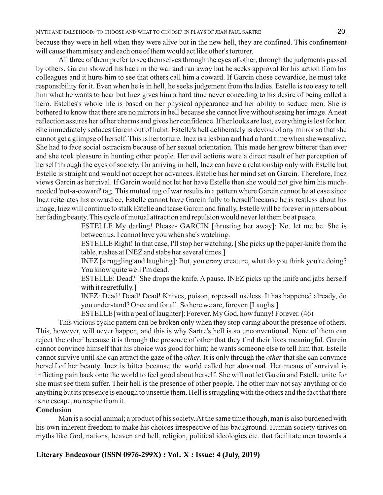because they were in hell when they were alive but in the new hell, they are confined. This confinement will cause them misery and each one of them would act like other's torturer.

All three of them prefer to see themselves through the eyes of other, through the judgments passed by others. Garcin showed his back in the war and ran away but he seeks approval for his action from his colleagues and it hurts him to see that others call him a coward. If Garcin chose cowardice, he must take responsibility for it. Even when he is in hell, he seeks judgement from the ladies. Estelle is too easy to tell him what he wants to hear but Inez gives him a hard time never conceding to his desire of being called a hero. Estelles's whole life is based on her physical appearance and her ability to seduce men. She is bothered to know that there are no mirrors in hell because she cannot live without seeing her image. Aneat reflection assures her of her charms and gives her confidence. If her looks are lost, everything is lost for her. She immediately seduces Garcin out of habit. Estelle's hell deliberately is devoid of any mirror so that she cannot get a glimpse of herself. This is her torture. Inez is a lesbian and had a hard time when she was alive. She had to face social ostracism because of her sexual orientation. This made her grow bitterer than ever and she took pleasure in hunting other people. Her evil actions were a direct result of her perception of herself through the eyes of society. On arriving in hell, Inez can have a relationship only with Estelle but Estelle is straight and would not accept her advances. Estelle has her mind set on Garcin. Therefore, Inez views Garcin as her rival. If Garcin would not let her have Estelle then she would not give him his muchneeded 'not-a-coward' tag. This mutual tug of war results in a pattern where Garcin cannot be at ease since Inez reiterates his cowardice, Estelle cannot have Garcin fully to herself because he is restless about his image, Inez will continue to stalk Estelle and tease Garcin and finally, Estelle will be forever in jitters about her fading beauty. This cycle of mutual attraction and repulsion would never let them be at peace.

> ESTELLE My darling! Please- GARCIN [thrusting her away]: No, let me be. She is between us. I cannot love you when she's watching.

> ESTELLE Right! In that case, I'll stop her watching. [She picks up the paper-knife from the table, rushes at INEZ and stabs her several times.]

> INEZ [struggling and laughing]: But, you crazy creature, what do you think you're doing? You know quite well I'm dead.

> ESTELLE: Dead? [She drops the knife. A pause. INEZ picks up the knife and jabs herself with it regretfully.]

> INEZ: Dead! Dead! Dead! Knives, poison, ropes-all useless. It has happened already, do you understand? Once and for all. So here we are, forever. [Laughs.]

ESTELLE [with a peal of laughter]: Forever. My God, how funny! Forever. (46)

This vicious cyclic pattern can be broken only when they stop caring about the presence of others. This, however, will never happen, and this is why Sartre's hell is so unconventional. None of them can reject 'the other' because it is through the presence of other that they find their lives meaningful. Garcin cannot convince himself that his choice was good for him; he wants someone else to tell him that. Estelle cannot survive until she can attract the gaze of the *other*. It is only through the *other* that she can convince herself of her beauty. Inez is bitter because the world called her abnormal. Her means of survival is inflicting pain back onto the world to feel good about herself. She will not let Garcin and Estelle unite for she must see them suffer. Their hell is the presence of other people. The other may not say anything or do anything but its presence is enough to unsettle them. Hell is struggling with the others and the fact that there is no escape, no respite from it.

### **Conclusion**

Man is a social animal; a product of his society. At the same time though, man is also burdened with his own inherent freedom to make his choices irrespective of his background. Human society thrives on myths like God, nations, heaven and hell, religion, political ideologies etc. that facilitate men towards a